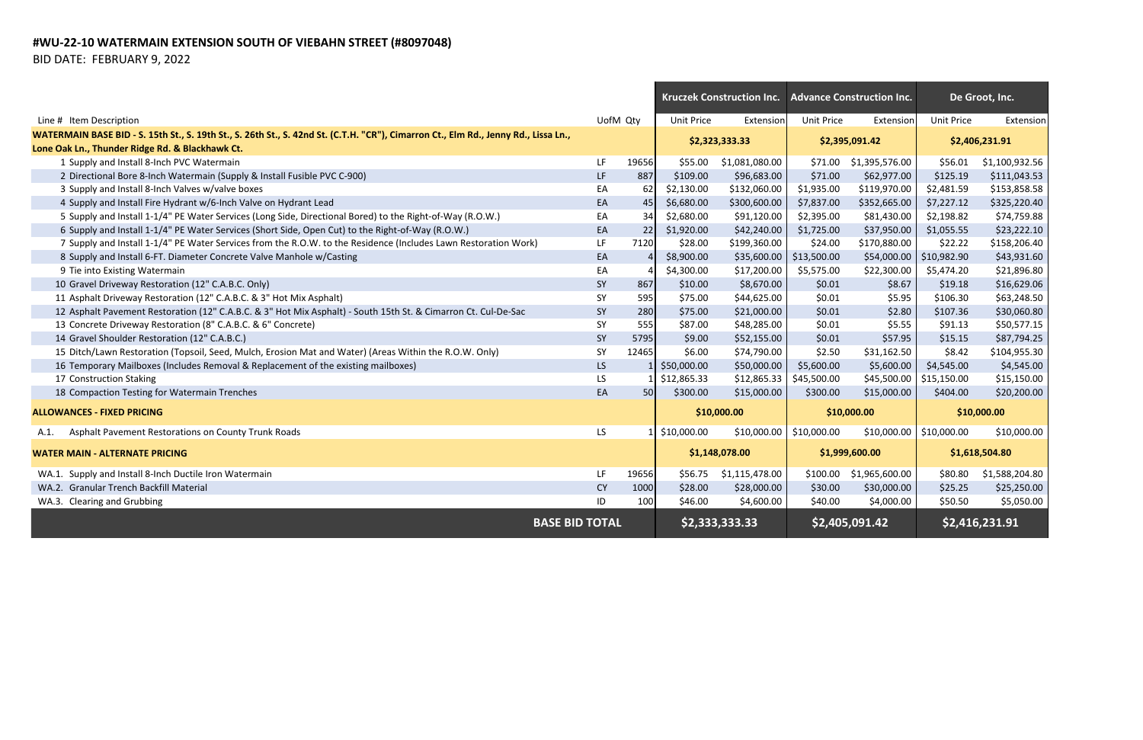## **#WU-22-10 WATERMAIN EXTENSION SOUTH OF VIEBAHN STREET (#8097048)**

BID DATE: FEBRUARY 9, 2022

|                                                                                                                                     |                       |                 | <b>Kruczek Construction Inc.</b> |                | <b>Advance Construction Inc.</b> |                | De Groot, Inc.             |                |
|-------------------------------------------------------------------------------------------------------------------------------------|-----------------------|-----------------|----------------------------------|----------------|----------------------------------|----------------|----------------------------|----------------|
| Line # Item Description                                                                                                             |                       | UofM Qty        | <b>Unit Price</b>                | Extension      | <b>Unit Price</b>                | Extension      | <b>Unit Price</b>          | Extension      |
| WATERMAIN BASE BID - S. 15th St., S. 19th St., S. 26th St., S. 42nd St. (C.T.H. "CR"), Cimarron Ct., Elm Rd., Jenny Rd., Lissa Ln., |                       |                 |                                  |                |                                  |                |                            |                |
| Lone Oak Ln., Thunder Ridge Rd. & Blackhawk Ct.                                                                                     |                       |                 | \$2,323,333.33                   |                | \$2,395,091.42                   |                | \$2,406,231.91             |                |
| 1 Supply and Install 8-Inch PVC Watermain                                                                                           | LF.                   | 19656           | \$55.00                          | \$1,081,080.00 | \$71.00                          | \$1,395,576.00 | \$56.01                    | \$1,100,932.56 |
| 2 Directional Bore 8-Inch Watermain (Supply & Install Fusible PVC C-900)                                                            | LF.                   | 887             | \$109.00                         | \$96,683.00    | \$71.00                          | \$62,977.00    | \$125.19                   | \$111,043.53   |
| 3 Supply and Install 8-Inch Valves w/valve boxes                                                                                    | EA                    | 62              | \$2,130.00                       | \$132,060.00   | \$1,935.00                       | \$119,970.00   | \$2,481.59                 | \$153,858.58   |
| 4 Supply and Install Fire Hydrant w/6-Inch Valve on Hydrant Lead                                                                    | EA                    | 45              | \$6,680.00                       | \$300,600.00   | \$7,837.00                       | \$352,665.00   | \$7,227.12                 | \$325,220.40   |
| 5 Supply and Install 1-1/4" PE Water Services (Long Side, Directional Bored) to the Right-of-Way (R.O.W.)                           | EA                    | 34              | \$2,680.00                       | \$91,120.00    | \$2,395.00                       | \$81,430.00    | \$2,198.82                 | \$74,759.88    |
| 6 Supply and Install 1-1/4" PE Water Services (Short Side, Open Cut) to the Right-of-Way (R.O.W.)                                   | EA                    | 22              | \$1,920.00                       | \$42,240.00    | \$1,725.00                       | \$37,950.00    | \$1,055.55                 | \$23,222.10    |
| 7 Supply and Install 1-1/4" PE Water Services from the R.O.W. to the Residence (Includes Lawn Restoration Work)                     | LF.                   | 7120            | \$28.00                          | \$199,360.00   | \$24.00                          | \$170,880.00   | \$22.22                    | \$158,206.40   |
| 8 Supply and Install 6-FT. Diameter Concrete Valve Manhole w/Casting                                                                | EA                    |                 | \$8,900.00                       |                | $$35,600.00$   \$13,500.00       | \$54,000.00    | \$10,982.90                | \$43,931.60    |
| 9 Tie into Existing Watermain                                                                                                       | EA                    |                 | \$4,300.00                       | \$17,200.00    | \$5,575.00                       | \$22,300.00    | \$5,474.20                 | \$21,896.80    |
| 10 Gravel Driveway Restoration (12" C.A.B.C. Only)                                                                                  | SY                    | 867             | \$10.00                          | \$8,670.00     | \$0.01                           | \$8.67         | \$19.18                    | \$16,629.06    |
| 11 Asphalt Driveway Restoration (12" C.A.B.C. & 3" Hot Mix Asphalt)                                                                 | SY                    | 595             | \$75.00                          | \$44,625.00    | \$0.01                           | \$5.95         | \$106.30                   | \$63,248.50    |
| 12 Asphalt Pavement Restoration (12" C.A.B.C. & 3" Hot Mix Asphalt) - South 15th St. & Cimarron Ct. Cul-De-Sac                      | <b>SY</b>             | 280             | \$75.00                          | \$21,000.00    | \$0.01                           | \$2.80         | \$107.36                   | \$30,060.80    |
| 13 Concrete Driveway Restoration (8" C.A.B.C. & 6" Concrete)                                                                        | SY                    | 555             | \$87.00                          | \$48,285.00    | \$0.01                           | \$5.55         | \$91.13                    | \$50,577.15    |
| 14 Gravel Shoulder Restoration (12" C.A.B.C.)                                                                                       | SY                    | 5795            | \$9.00                           | \$52,155.00    | \$0.01                           | \$57.95        | \$15.15                    | \$87,794.25    |
| 15 Ditch/Lawn Restoration (Topsoil, Seed, Mulch, Erosion Mat and Water) (Areas Within the R.O.W. Only)                              | SY                    | 12465           | \$6.00                           | \$74,790.00    | \$2.50                           | \$31,162.50    | \$8.42                     | \$104,955.30   |
| 16 Temporary Mailboxes (Includes Removal & Replacement of the existing mailboxes)                                                   | LS.                   |                 | \$50,000.00                      | \$50,000.00    | \$5,600.00                       | \$5,600.00     | \$4,545.00                 | \$4,545.00     |
| 17 Construction Staking                                                                                                             | LS.                   |                 | \$12,865.33                      | \$12,865.33    | \$45,500.00                      | \$45,500.00    | \$15,150.00                | \$15,150.00    |
| 18 Compaction Testing for Watermain Trenches                                                                                        | EA                    | 50 <sup>1</sup> | \$300.00                         | \$15,000.00    | \$300.00                         | \$15,000.00    | \$404.00                   | \$20,200.00    |
| <b>ALLOWANCES - FIXED PRICING</b>                                                                                                   |                       |                 | \$10,000.00                      |                | \$10,000.00                      |                | \$10,000.00                |                |
| Asphalt Pavement Restorations on County Trunk Roads<br>A.1.                                                                         | LS.                   |                 | 1 \$10,000.00                    |                | $$10,000.00$   \$10,000.00       |                | $$10,000.00$   \$10,000.00 | \$10,000.00    |
| <b>WATER MAIN - ALTERNATE PRICING</b>                                                                                               |                       |                 | \$1,148,078.00                   |                | \$1,999,600.00                   |                | \$1,618,504.80             |                |
| WA.1. Supply and Install 8-Inch Ductile Iron Watermain                                                                              | LF.                   | 19656           | \$56.75                          | \$1,115,478.00 | \$100.00                         | \$1,965,600.00 | \$80.80                    | \$1,588,204.80 |
| WA.2. Granular Trench Backfill Material                                                                                             | <b>CY</b>             | 1000            | \$28.00                          | \$28,000.00    | \$30.00                          | \$30,000.00    | \$25.25                    | \$25,250.00    |
| WA.3. Clearing and Grubbing                                                                                                         | ID                    | 100             | \$46.00                          | \$4,600.00     | \$40.00                          | \$4,000.00     | \$50.50                    | \$5,050.00     |
|                                                                                                                                     | <b>BASE BID TOTAL</b> |                 | \$2,333,333.33                   |                | \$2,405,091.42                   |                | \$2,416,231.91             |                |